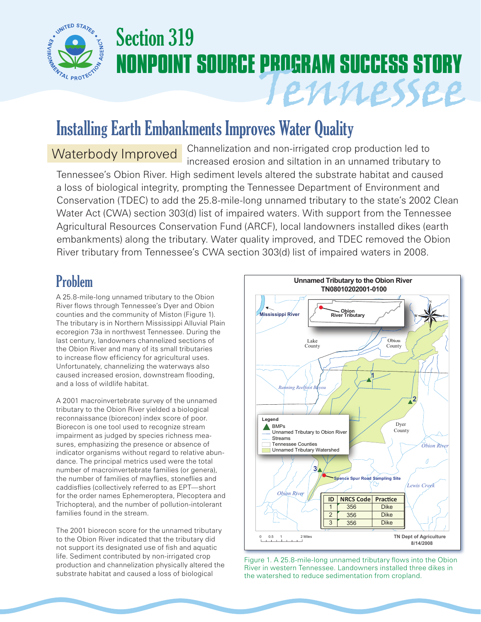

# Section 319 **NONPOINT SOURCE PROGRAM SUCCESS STORY** Tennessee

# Installing Earth Embankments Improves Water Quality

Channelization and non-irrigated crop production led to Waterbody Improved Channelization and non-irrigated crop production led to<br>increased erosion and siltation in an unnamed tributary to Tennessee's Obion River. High sediment levels altered the substrate habitat and caused a loss of biological integrity, prompting the Tennessee Department of Environment and Conservation (TDEC) to add the 25.8-mile-long unnamed tributary to the state's 2002 Clean Water Act (CWA) section 303(d) list of impaired waters. With support from the Tennessee Agricultural Resources Conservation Fund (ARCF), local landowners installed dikes (earth embankments) along the tributary. Water quality improved, and TDEC removed the Obion River tributary from Tennessee's CWA section 303(d) list of impaired waters in 2008.

## Problem

A 25.8-mile-long unnamed tributary to the Obion River flows through Tennessee's Dyer and Obion counties and the community of Miston (Figure 1). The tributary is in Northern Mississippi Alluvial Plain ecoregion 73a in northwest Tennessee. During the last century, landowners channelized sections of the Obion River and many of its small tributaries to increase flow efficiency for agricultural uses. Unfortunately, channelizing the waterways also caused increased erosion, downstream flooding, and a loss of wildlife habitat.

A 2001 macroinvertebrate survey of the unnamed tributary to the Obion River yielded a biological reconnaissance (biorecon) index score of poor. Biorecon is one tool used to recognize stream impairment as judged by species richness measures, emphasizing the presence or absence of indicator organisms without regard to relative abundance. The principal metrics used were the total number of macroinvertebrate families (or genera), the number of families of mayflies, stoneflies and caddisflies (collectively referred to as EPT—short for the order names Ephemeroptera, Plecoptera and Trichoptera), and the number of pollution-intolerant families found in the stream.

The 2001 biorecon score for the unnamed tributary to the Obion River indicated that the tributary did not support its designated use of fish and aquatic life. Sediment contributed by non-irrigated crop production and channelization physically altered the substrate habitat and caused a loss of biological